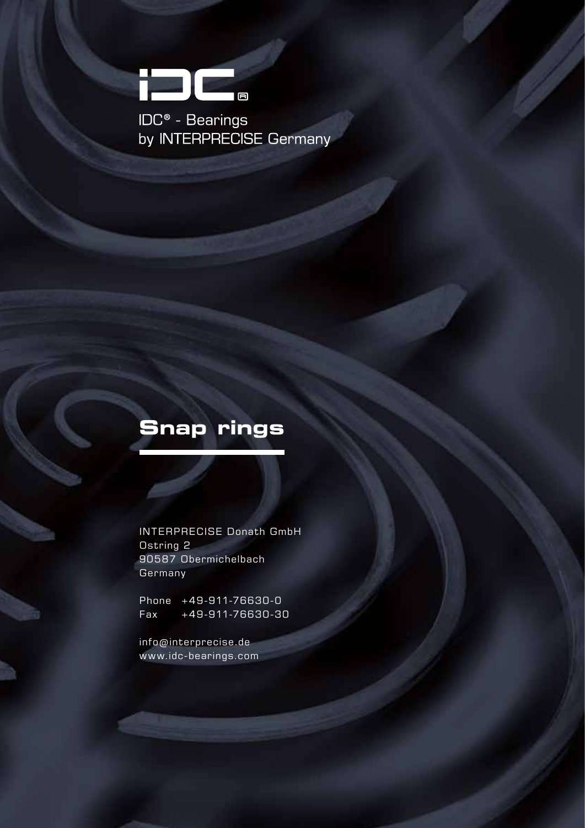

**IDC<sup>®</sup> - Bearings<br>by INTERPRECISE Germany** 

## **Snap rings**

INTERPRECISE Donath GmbH Ostring 2 90587 Obermichelbach **Germany** 

Phone +49-911-76630-0 Fax +49-911-76630-30

info@interprecise.de www.idc-bearings.com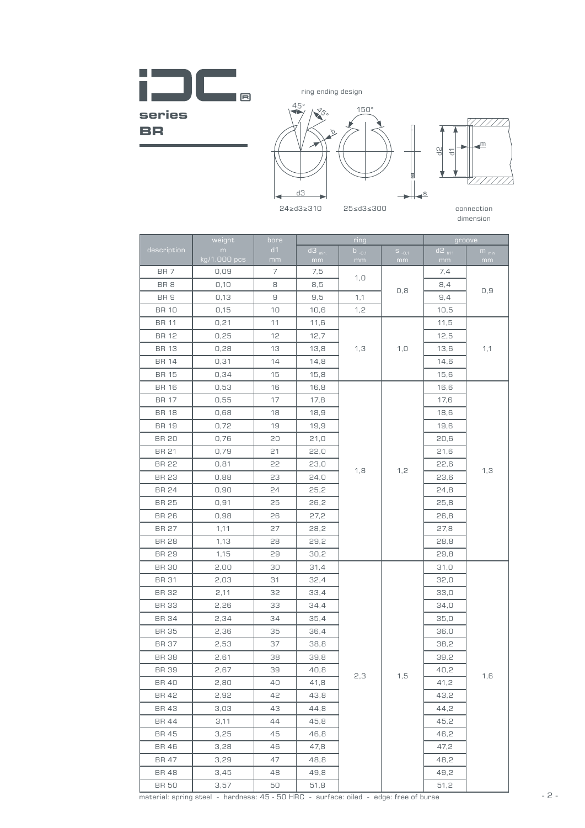**The Co**  $\blacksquare$ **series BR** 



dimension

|                 | weight            | bore     |                            | ring             | groove           |                           |                 |  |
|-----------------|-------------------|----------|----------------------------|------------------|------------------|---------------------------|-----------------|--|
| description     | m<br>kg/1.000 pcs | d1<br>mm | $d3$ <sub>min.</sub><br>mm | $b_{-0,1}$<br>mm | $S_{-0.1}$<br>mm | $d2$ <sub>h11</sub><br>mm | $m_{min}$<br>mm |  |
| BR <sub>7</sub> | 0,09              | 7        | 7,5                        | 1, 0             |                  | 7,4                       |                 |  |
| BR <sub>8</sub> | 0,10              | 8        | 8,5                        |                  | 0,8              | 8,4                       | 0,9             |  |
| BR <sub>9</sub> | 0,13              | 9        | 9,5                        | 1,1              |                  | 9,4                       |                 |  |
| <b>BR 10</b>    | 0,15              | 10       | 10,6                       | 1, 2             |                  | 10,5                      |                 |  |
| <b>BR 11</b>    | 0,21              | 11       | 11,6                       |                  |                  | 11,5                      |                 |  |
| <b>BR 12</b>    | 0,25              | 12       | 12,7                       |                  |                  | 12,5                      |                 |  |
| <b>BR 13</b>    | 0,28              | 13       | 13,8                       | 1,3              | 1, 0             | 13,6                      | 1,1             |  |
| <b>BR 14</b>    | 0,31              | 14       | 14,8                       |                  |                  | 14,6                      |                 |  |
| <b>BR 15</b>    | 0,34              | 15       | 15,8                       |                  |                  | 15,6                      |                 |  |
| <b>BR 16</b>    | 0,53              | 16       | 16,8                       |                  |                  | 16,6                      |                 |  |
| <b>BR 17</b>    | 0,55              | 17       | 17,8                       |                  |                  | 17,6                      |                 |  |
| <b>BR 18</b>    | 0,68              | 18       | 18,9                       |                  |                  | 18,6                      |                 |  |
| <b>BR 19</b>    | 0,72              | 19       | 19,9                       |                  |                  | 19,6                      |                 |  |
| BR 20           | 0,76              | 20       | 21,0                       |                  |                  | 20,6                      |                 |  |
| BR 21           | 0,79              | 21       | 22,0                       |                  |                  | 21,6                      | 1,3             |  |
| <b>BR 22</b>    | 0,81              | 22       | 23,0                       | 1,8              | 1, 2             | 22,6                      |                 |  |
| <b>BR 23</b>    | 0,88              | 23       | 24,0                       |                  |                  | 23,6                      |                 |  |
| <b>BR 24</b>    | 0,90              | 24       | 25,2                       |                  |                  | 24,8                      |                 |  |
| <b>BR 25</b>    | 0,91              | 25       | 26,2                       |                  |                  | 25,8                      |                 |  |
| <b>BR 26</b>    | 0,98              | 26       | 27,2                       |                  |                  | 26,8                      |                 |  |
| BR 27           | 1,11              | 27       | 28,2                       |                  |                  | 27,8                      |                 |  |
| <b>BR 28</b>    | 1,13              | 28       | 29,2                       |                  |                  | 28,8                      |                 |  |
| <b>BR 29</b>    | 1,15              | 29       | 30,2                       |                  |                  | 29,8                      |                 |  |
| <b>BR 30</b>    | 2,00              | 30       | 31,4                       |                  |                  | 31,0                      |                 |  |
| <b>BR 31</b>    | 2,03              | 31       | 32,4                       |                  |                  | 32,0                      |                 |  |
| <b>BR 32</b>    | 2,11              | 32       | 33,4                       |                  |                  | 33,0                      |                 |  |
| <b>BR 33</b>    | 2,26              | 33       | 34,4                       |                  |                  | 34,0                      |                 |  |
| <b>BR 34</b>    | 2,34              | 34       | 35,4                       |                  |                  | 35,0                      |                 |  |
| <b>BR 35</b>    | 2,36              | 35       | 36,4                       |                  |                  | 36,0                      |                 |  |
| <b>BR 37</b>    | 2,53              | 37       | 38,8                       |                  |                  | 38,2                      |                 |  |
| <b>BR 38</b>    | 2,61              | 38       | 39,8                       |                  |                  | 39,2                      |                 |  |
| <b>BR 39</b>    | 2,67              | 39       | 40,8                       |                  | 1,5              | 40,2                      |                 |  |
| <b>BR 40</b>    | 2,80              | 40       | 41,8                       | 2,3              |                  | 41,2                      | 1,6             |  |
| BR 42           | 2,92              | 42       | 43,8                       |                  |                  | 43,2                      |                 |  |
| BR 43           | 3,03              | 43       | 44,8                       |                  |                  | 44,2                      |                 |  |
| BR 44           | 3,11              | 44       | 45,8                       |                  |                  | 45,2                      |                 |  |
| BR 45           | 3,25              | 45       | 46,8                       |                  |                  | 46,2                      |                 |  |
| BR 46           | 3,28              | 46       | 47,8                       |                  |                  | 47,2                      |                 |  |
| BR 47           | 3,29              | 47       | 48,8                       |                  |                  | 48,2                      |                 |  |
| BR 48           | 3,45              | 48       | 49,8                       |                  |                  | 49,2                      |                 |  |
| <b>BR 50</b>    | 3,57              | 50       | 51,8                       |                  |                  | 51,2                      |                 |  |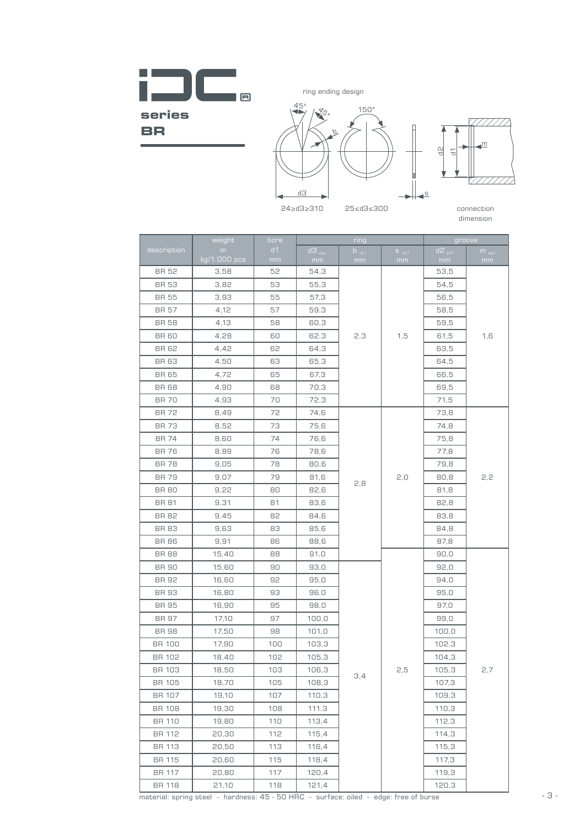**The Co**  $\overline{B}$ **series BR** 



77777.

dimension

|               | weight            | bore     |                           | ring             | groove            |                  |                 |
|---------------|-------------------|----------|---------------------------|------------------|-------------------|------------------|-----------------|
| description   | m<br>kg/1.000 pcs | d1<br>mm | $d3$ <sub>min</sub><br>mm | $b_{.0,1}$<br>mm | $S_{-.0,1}$<br>mm | $d2_{h11}$<br>mm | $m_{min}$<br>mm |
| <b>BR 52</b>  | 3,58              | 52       | 54,3                      |                  |                   | 53,5             |                 |
| <b>BR 53</b>  | 3,82              | 53       | 55,3                      |                  |                   | 54,5             |                 |
| <b>BR 55</b>  | 3,93              | 55       | 57,3                      |                  |                   | 56,5             |                 |
| <b>BR 57</b>  | 4,12              | 57       | 59,3                      |                  |                   | 58,5             |                 |
| BR 58         | 4,13              | 58       | 60,3                      |                  |                   | 59,5             |                 |
| <b>BR 60</b>  | 4,28              | 60       | 62,3                      | 2,3              | 1,5               | 61,5             | 1,6             |
| <b>BR 62</b>  | 4,42              | 62       | 64,3                      |                  |                   | 63,5             |                 |
| <b>BR 63</b>  | 4,50              | 63       | 65,3                      |                  |                   | 64,5             |                 |
| <b>BR 65</b>  | 4,72              | 65       | 67,3                      |                  |                   | 66,5             |                 |
| <b>BR 68</b>  | 4,90              | 68       | 70,3                      |                  |                   | 69,5             |                 |
| <b>BR 70</b>  | 4,93              | 70       | 72,3                      |                  |                   | 71,5             |                 |
| <b>BR72</b>   | 8,49              | 72       | 74,6                      |                  |                   | 73,8             |                 |
| <b>BR73</b>   | 8,52              | 73       | 75,6                      |                  |                   | 74,8             |                 |
| <b>BR 74</b>  | 8,60              | 74       | 76,6                      |                  |                   | 75,8             | 2,2             |
| <b>BR 76</b>  | 8,89              | 76       | 78,6                      |                  |                   | 77,8             |                 |
| <b>BR78</b>   | 9,05              | 78       | 80,6                      | 2,8              |                   | 79,8             |                 |
| <b>BR79</b>   | 9,07              | 79       | 81,6                      |                  | 2,0               | 80,8             |                 |
| <b>BR 80</b>  | 9,22              | 80       | 82,6                      |                  |                   | 81,8             |                 |
| <b>BR 81</b>  | 9,31              | 81       | 83,6                      |                  |                   | 82,8             |                 |
| <b>BR 82</b>  | 9,45              | 82       | 84,6                      |                  |                   | 83,8             |                 |
| <b>BR 83</b>  | 9,63              | 83       | 85,6                      |                  |                   | 84,8             |                 |
| <b>BR 86</b>  | 9,91              | 86       | 88,6                      |                  |                   | 87,8             |                 |
| <b>BR 88</b>  | 15,40             | 88       | 91,0                      |                  |                   | 90,0             |                 |
| <b>BR 90</b>  | 15,60             | 90       | 93,0                      |                  |                   | 92,0             |                 |
| BR 92         | 16,60             | 92       | 95,0                      |                  |                   | 94,0             |                 |
| <b>BR 93</b>  | 16,80             | 93       | 96,0                      |                  |                   | 95,0             |                 |
| <b>BR 95</b>  | 16,90             | 95       | 98,0                      |                  |                   | 97,0             |                 |
| BR 97         | 17,10             | 97       | 100,0                     |                  |                   | 99,0             |                 |
| <b>BR 98</b>  | 17,50             | 98       | 101,0                     |                  |                   | 100,0            |                 |
| <b>BR 100</b> | 17,90             | 100      | 103,3                     |                  |                   | 102,3            |                 |
| BR 102        | 18,40             | 102      | 105,3                     |                  |                   | 104,3            |                 |
| <b>BR 103</b> | 18,50             | 103      | 106,3                     | 3,4              | 2,5               | 105,3            | 2,7             |
| <b>BR 105</b> | 18,70             | 105      | 108,3                     |                  |                   | 107,3            |                 |
| <b>BR 107</b> | 19,10             | 107      | 110,3                     |                  |                   | 109,3            |                 |
| <b>BR 108</b> | 19,30             | 108      | 111,3                     |                  |                   | 110,3            |                 |
| <b>BR 110</b> | 19,80             | 110      | 113,4                     |                  |                   | 112,3            |                 |
| BR 112        | 20,30             | 112      | 115,4                     |                  |                   | 114,3            |                 |
| <b>BR 113</b> | 20,50             | 113      | 116,4                     |                  |                   | 115,3            |                 |
| <b>BR 115</b> | 20,60             | 115      | 118,4                     |                  |                   | 117,3            |                 |
| <b>BR 117</b> | 20,80             | 117      | 120,4                     |                  |                   | 119,3            |                 |
| <b>BR 118</b> | 21,10             | 118      | 121,4                     |                  |                   | 120,3            |                 |

 $\overline{\phantom{a}}$  material: soring steel - hardness: 45 - 50 HRC - surface: oiled - edge: free of burse  $\overline{\phantom{a}}$   $\overline{\phantom{a}}$   $\overline{\phantom{a}}$  - 3 material: spring steel - hardness: 45 - 50 HRC - surface: oiled - edge: free of burse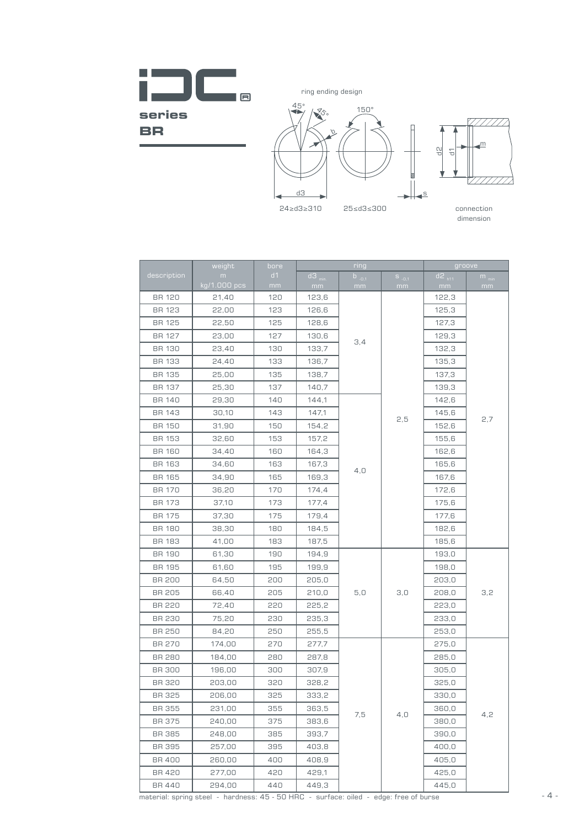**The Co**  $\blacksquare$ **series BR** 



|               | weight       | bore |                      | ring       | groove     |                      |           |  |
|---------------|--------------|------|----------------------|------------|------------|----------------------|-----------|--|
| description   | m            | d1   | $d3$ <sub>min.</sub> | $b_{.0,1}$ | $S_{-0.1}$ | $d^2$ <sub>h11</sub> | $m_{min}$ |  |
|               | kg/1.000 pcs | mm   | mm                   | mm         | mm         | mm                   | mm        |  |
| <b>BR 120</b> | 21,40        | 120  | 123,6                |            |            | 122,3                |           |  |
| <b>BR 123</b> | 22,00        | 123  | 126,6                |            |            | 125,3                |           |  |
| BR 125        | 22,50        | 125  | 128,6                |            |            | 127,3                |           |  |
| <b>BR 127</b> | 23,00        | 127  | 130,6                | 3,4        |            | 129,3                |           |  |
| <b>BR 130</b> | 23,40        | 130  | 133,7                |            |            | 132,3                |           |  |
| BR 133        | 24,40        | 133  | 136,7                |            |            | 135,3                |           |  |
| <b>BR 135</b> | 25,00        | 135  | 138,7                |            |            | 137,3                |           |  |
| <b>BR 137</b> | 25,30        | 137  | 140,7                |            |            | 139,3                |           |  |
| <b>BR 140</b> | 29,30        | 140  | 144,1                |            |            | 142,6                |           |  |
| <b>BR 143</b> | 30,10        | 143  | 147,1                |            | 2,5        | 145,6                | 2,7       |  |
| <b>BR 150</b> | 31,90        | 150  | 154,2                |            |            | 152,6                |           |  |
| <b>BR 153</b> | 32,60        | 153  | 157,2                |            |            | 155,6                |           |  |
| <b>BR 160</b> | 34,40        | 160  | 164,3                |            |            | 162,6                |           |  |
| <b>BR 163</b> | 34,60        | 163  | 167,3                | 4,0        |            | 165,6                |           |  |
| <b>BR 165</b> | 34,90        | 165  | 169,3                |            |            | 167,6                |           |  |
| <b>BR 170</b> | 36,20        | 170  | 174,4                |            |            | 172,6                |           |  |
| BR 173        | 37,10        | 173  | 177,4                |            |            | 175,6                |           |  |
| <b>BR 175</b> | 37,30        | 175  | 179,4                |            |            | 177,6                |           |  |
| <b>BR 180</b> | 38,30        | 180  | 184,5                |            |            | 182,6                |           |  |
| BR 183        | 41,00        | 183  | 187,5                |            |            | 185,6                |           |  |
| BR 190        | 61,30        | 190  | 194,9                |            |            | 193,0                | 3,2       |  |
| <b>BR 195</b> | 61,60        | 195  | 199,9                |            |            | 198,0                |           |  |
| <b>BR 200</b> | 64,50        | 200  | 205,0                |            |            | 203,0                |           |  |
| <b>BR 205</b> | 66,40        | 205  | 210,0                | 5,0        | 3,0        | 208,0                |           |  |
| <b>BR 220</b> | 72,40        | 220  | 225,2                |            |            | 223,0                |           |  |
| <b>BR 230</b> | 75,20        | 230  | 235,3                |            |            | 233,0                |           |  |
| <b>BR 250</b> | 84,20        | 250  | 255,5                |            |            | 253,0                |           |  |
| <b>BR 270</b> | 174,00       | 270  | 277,7                |            |            | 275,0                |           |  |
| <b>BR 280</b> | 184,00       | 280  | 287,8                |            |            | 285,0                |           |  |
| <b>BR 300</b> | 196,00       | 300  | 307,9                |            |            | 305,0                |           |  |
| <b>BR 320</b> | 203,00       | 320  | 328,2                |            |            | 325,0                |           |  |
| <b>BR 325</b> | 206,00       | 325  | 333,2                |            |            | 330,0                |           |  |
| BR 355        | 231,00       | 355  | 363,5                | 7,5        | 4,0        | 360,0                | 4,2       |  |
| BR 375        | 240,00       | 375  | 383,6                |            |            | 380,0                |           |  |
| BR 385        | 248,00       | 385  | 393,7                |            |            | 390,0                |           |  |
| BR 395        | 257,00       | 395  | 403,8                |            |            | 400,0                |           |  |
| BR 400        | 260,00       | 400  | 408,9                |            |            | 405,0                |           |  |
| <b>BR 420</b> | 277,00       | 420  | 429,1                |            |            | 425,0                |           |  |
| BR 440        | 294,00       | 440  | 449,3                |            |            | 445,0                |           |  |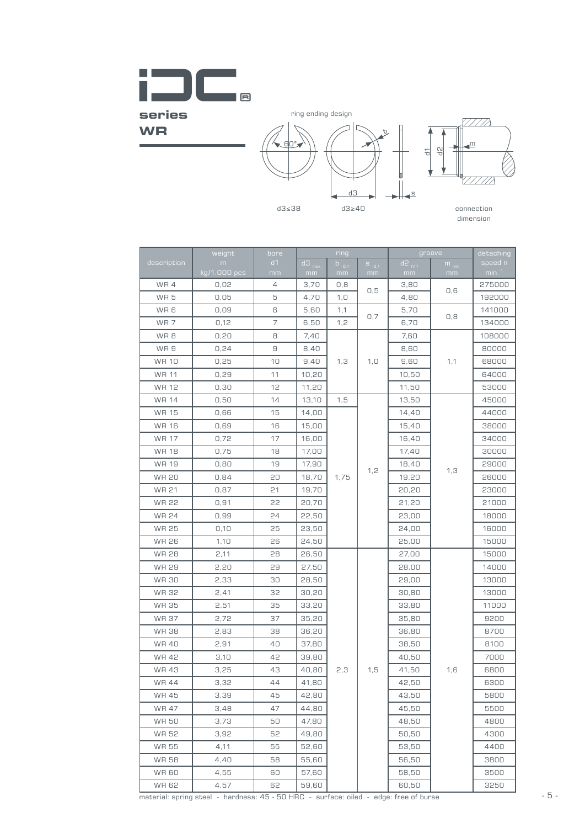

ring ending design





 $\alpha$ 

|                              |                                                                                               |              |                        | d3               |                  | 딍<br>≞-          | 웽                |                                                                                          |
|------------------------------|-----------------------------------------------------------------------------------------------|--------------|------------------------|------------------|------------------|------------------|------------------|------------------------------------------------------------------------------------------|
|                              |                                                                                               | $d3 \leq 38$ |                        | $d3 \geq 40$     |                  |                  |                  | connection<br>dimension                                                                  |
|                              | weight                                                                                        | bore         |                        | ring             |                  |                  | groove           | detaching                                                                                |
| description                  | m<br>$kg/1.000$ pcs                                                                           | d1<br>mm     | $d3_{\text{ma}}$<br>mm | $b_{-0,1}$<br>mm | $S_{-0,1}$<br>mm | $d2_{h11}$<br>mm | $m_{\min}$<br>mm | speed n<br>$\overline{\phantom{a}}$ min $\overline{\phantom{a}}^{\scriptscriptstyle +1}$ |
| WR4                          | 0,02                                                                                          | 4            | 3,70                   | 0,8              |                  | 3,80             |                  | 275000                                                                                   |
| WR <sub>5</sub>              | 0,05                                                                                          | 5            | 4,70                   | 1, 0             | 0,5              | 4,80             | 0,6              | 192000                                                                                   |
| WR 6                         | 0,09                                                                                          | 6            | 5,60                   | 1,1              |                  | 5,70             |                  | 141000                                                                                   |
| WR 7                         | 0,12                                                                                          | 7            | 6,50                   | 1,2              | 0,7              | 6,70             | 0,8              | 134000                                                                                   |
| WR 8                         | 0,20                                                                                          | 8            | 7,40                   |                  |                  | 7,60             |                  | 108000                                                                                   |
| WR 9                         | 0,24                                                                                          | 9            | 8,40                   |                  |                  | 8,60             |                  | 80000                                                                                    |
| <b>WR 10</b>                 | 0,25                                                                                          | 10           | 9,40                   | 1,3              | 1, 0             | 9,60             | 1,1              | 68000                                                                                    |
| <b>WR 11</b>                 | 0,29                                                                                          | 11           | 10,20                  |                  |                  | 10,50            |                  | 64000                                                                                    |
| WR 12                        | 0,30                                                                                          | 12           | 11,20                  |                  |                  | 11,50            |                  | 53000                                                                                    |
| WR 14                        | 0,50                                                                                          | 14           | 13,10                  | 1,5              |                  | 13,50            |                  | 45000                                                                                    |
| WR 15                        | 0,66                                                                                          | 15           | 14,00                  |                  |                  | 14,40            |                  | 44000                                                                                    |
| <b>WR 16</b>                 | 0,69                                                                                          | 16           | 15,00                  |                  |                  | 15,40            |                  | 38000                                                                                    |
| <b>WR 17</b>                 | 0,72                                                                                          | 17           | 16,00                  |                  |                  | 16,40            |                  | 34000                                                                                    |
| <b>WR 18</b>                 | 0,75                                                                                          | 18           | 17,00                  |                  |                  | 17,40            |                  | 30000                                                                                    |
| WR 19                        | 0,80                                                                                          | 19           | 17,90                  |                  |                  | 18,40            | 1,3              | 29000                                                                                    |
| <b>WR 20</b>                 | 0,84                                                                                          | 20           | 18,70                  | 1,75             | 1,2              | 19,20            |                  | 26000                                                                                    |
| <b>WR 21</b>                 | 0,87                                                                                          | 21           | 19,70                  |                  |                  | 20,20            |                  | 23000                                                                                    |
| <b>WR 22</b>                 | 0,91                                                                                          | 22           | 20,70                  |                  |                  | 21,20            |                  | 21000                                                                                    |
| <b>WR 24</b>                 | 0,99                                                                                          | 24           | 22,50                  |                  |                  | 23,00            |                  | 18000                                                                                    |
|                              |                                                                                               |              |                        |                  |                  |                  |                  |                                                                                          |
| <b>WR 25</b><br><b>WR 26</b> | 0,10                                                                                          | 25           | 23,50                  |                  |                  | 24,00            |                  | 16000                                                                                    |
|                              | 1,10                                                                                          | 26           | 24,50                  |                  |                  | 25,00            |                  | 15000                                                                                    |
| <b>WR 28</b>                 | 2,11                                                                                          | 28           | 26,50                  |                  |                  | 27,00            |                  | 15000<br>14000                                                                           |
| <b>WR 29</b>                 | 2,20                                                                                          | 29           | 27,50                  |                  |                  | 28,00            |                  |                                                                                          |
| <b>WR 30</b>                 | 2,33                                                                                          | 30           | 28,50                  |                  |                  | 29,00            |                  | 13000                                                                                    |
| WR 32                        | 2,41                                                                                          | 32           | 30,20                  |                  |                  | 30,80            |                  | 13000                                                                                    |
| WR 35                        | 2,51                                                                                          | 35           | 33,20                  |                  |                  | 33,80            |                  | 11000                                                                                    |
| <b>WR 37</b>                 | 2,72                                                                                          | 37           | 35,20                  |                  |                  | 35,80            |                  | 9200                                                                                     |
| <b>WR38</b>                  | 2,83                                                                                          | 38           | 36,20                  |                  |                  | 36,80            |                  | 8700                                                                                     |
| <b>WR40</b>                  | 2,91                                                                                          | 40           | 37,80                  |                  |                  | 38,50            |                  | 8100                                                                                     |
| <b>WR42</b>                  | 3,10                                                                                          | 42           | 39,80                  |                  |                  | 40,50            |                  | 7000                                                                                     |
| <b>WR43</b>                  | 3,25                                                                                          | 43           | 40,80                  | 2,3              | 1,5              | 41,50            | 1,6              | 6800                                                                                     |
| <b>WR44</b>                  | 3,32                                                                                          | 44           | 41,80                  |                  |                  | 42,50            |                  | 6300                                                                                     |
| <b>WR45</b>                  | 3,39                                                                                          | 45           | 42,80                  |                  |                  | 43,50            |                  | 5800                                                                                     |
| <b>WR 47</b>                 | 3,48                                                                                          | 47           | 44,80                  |                  |                  | 45,50            |                  | 5500                                                                                     |
| <b>WR50</b>                  | 3,73                                                                                          | 50           | 47,80                  |                  |                  | 48,50            |                  | 4800                                                                                     |
| WR 52                        | 3,92                                                                                          | 52           | 49,80                  |                  |                  | 50,50            |                  | 4300                                                                                     |
| WR 55                        | 4,11                                                                                          | 55           | 52,60                  |                  |                  | 53,50            |                  | 4400                                                                                     |
| <b>WR58</b>                  | 4,40                                                                                          | 58           | 55,60                  |                  |                  | 56,50            |                  | 3800                                                                                     |
| <b>WR60</b>                  | 4,55                                                                                          | 60           | 57,60                  |                  |                  | 58,50            |                  | 3500                                                                                     |
| <b>WR62</b>                  | 4,57<br>material: spring steel - hardness: 45 - 50 HRC - surface: oiled - edge: free of burse | 62           | 59,60                  |                  |                  | 60,50            |                  | 3250                                                                                     |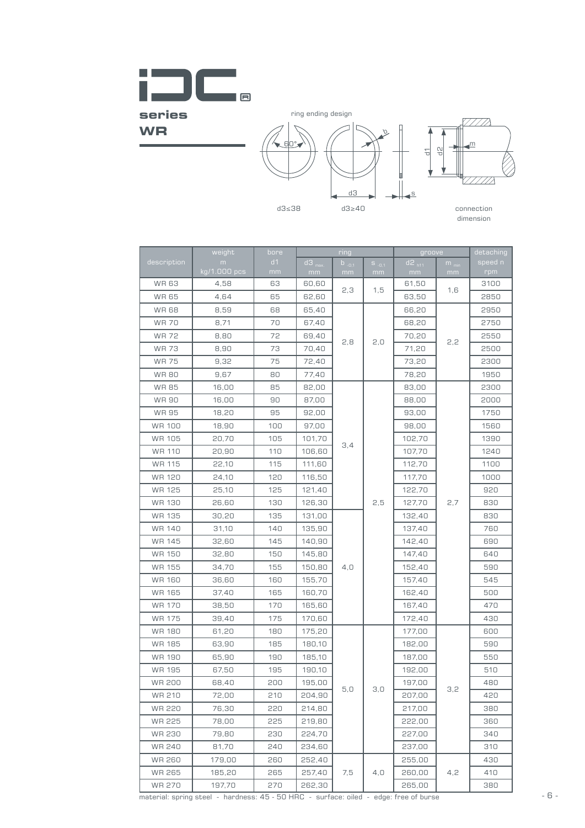

ring ending design





d3≥40 connection dimension

|               |                   | 등            |                           |                    |                  |                            |                            |                         |
|---------------|-------------------|--------------|---------------------------|--------------------|------------------|----------------------------|----------------------------|-------------------------|
|               |                   | $d3 \leq 38$ |                           | dЗ<br>$d3 \geq 40$ |                  |                            |                            | connection<br>dimension |
|               | weight            | bore         |                           | ring               |                  | groove                     |                            | detaching               |
| description   | m<br>kg/1.000 pcs | d1<br>mm     | $d3$ <sub>max</sub><br>mm | $b_{.0,1}$<br>mm   | $S_{-0.1}$<br>mm | $d^2$ <sub>h11</sub><br>mm | $\overline{m}_{min}$<br>mm | speed n<br>rpm          |
| <b>WR63</b>   | 4,58              | 63           | 60,60                     |                    |                  | 61,50                      |                            | 3100                    |
| <b>WR65</b>   | 4,64              | 65           | 62,60                     | 2,3                | 1,5              | 63,50                      | 1,6                        | 2850                    |
| <b>WR68</b>   | 8,59              | 68           | 65,40                     |                    |                  | 66,20                      |                            | 2950                    |
| <b>WR 70</b>  | 8,71              | 70           | 67,40                     |                    |                  | 68,20                      |                            | 2750                    |
| <b>WR72</b>   | 8,80              | 72           | 69,40                     | 2,8                | 2,0              | 70,20                      | 2,2                        | 2550                    |
| <b>WR73</b>   | 8,90              | 73           | 70,40                     |                    |                  | 71,20                      |                            | 2500                    |
| <b>WR 75</b>  | 9,32              | 75           | 72,40                     |                    |                  | 73,20                      |                            | 2300                    |
| <b>WR80</b>   | 9,67              | 80           | 77,40                     |                    |                  | 78,20                      |                            | 1950                    |
| <b>WR85</b>   | 16,00             | 85           | 82,00                     |                    |                  | 83,00                      |                            | 2300                    |
| <b>WR 90</b>  | 16,00             | 90           | 87,00                     |                    |                  | 88,00                      |                            | 2000                    |
| <b>WR 95</b>  | 18,20             | 95           | 92,00                     |                    |                  | 93,00                      |                            | 1750                    |
| <b>WR 100</b> | 18,90             | 100          | 97,00                     |                    |                  | 98,00                      |                            | 1560                    |
| WR 105        | 20,70             | 105          | 101,70                    | 3,4                |                  | 102,70                     |                            | 1390                    |
| <b>WR 110</b> | 20,90             | 110          | 106,60                    |                    |                  | 107,70                     |                            | 1240                    |
| <b>WR 115</b> | 22,10             | 115          | 111,60                    |                    |                  | 112,70                     |                            | 1100                    |
| WR 120        | 24,10             | 120          | 116,50                    |                    |                  | 117,70                     |                            | 1000                    |
| WR 125        | 25,10             | 125          | 121,40                    |                    |                  | 122,70                     |                            | 920                     |
| <b>WR 130</b> | 26,60             | 130          | 126,30                    |                    | 2,5              | 127,70                     | 2,7                        | 830                     |
| WR 135        | 30,20             | 135          | 131,00                    |                    |                  | 132,40                     |                            | 830                     |
| <b>WR 140</b> | 31,10             | 140          | 135,90                    |                    |                  | 137,40                     |                            | 760                     |
| <b>WR 145</b> | 32,60             | 145          | 140,90                    |                    |                  | 142,40                     |                            | 690                     |
| <b>WR 150</b> | 32,80             | 150          | 145,80                    |                    |                  | 147,40                     |                            | 640                     |
| WR 155        | 34,70             | 155          | 150,80                    | 4,0                |                  | 152,40                     |                            | 590                     |
| <b>WR 160</b> | 36,60             | 160          | 155,70                    |                    |                  | 157,40                     |                            | 545                     |
| <b>WR 165</b> | 37,40             | 165          | 160,70                    |                    |                  | 162,40                     |                            | 500                     |
| <b>WR 170</b> | 38,50             | 170          | 165,60                    |                    |                  | 167,40                     |                            | 470                     |
| WR 175        | 39,40             | 175          | 170,60                    |                    |                  | 172,40                     |                            | 430                     |
| WR 180        | 61,20             | 180          | 175,20                    |                    |                  | 177,00                     |                            | 600                     |
| <b>WR 185</b> | 63,90             | 185          | 180,10                    |                    |                  | 182,00                     |                            | 590                     |
| WR 190        | 65,90             | 190          | 185,10                    |                    |                  | 187,00                     |                            | 550                     |
| WR 195        | 67,50             | 195          | 190,10                    |                    |                  | 192,00                     |                            | 510                     |
| <b>WR 200</b> | 68,40             | 200          | 195,00                    | 5,0                | 3,0              | 197,00                     | 3,2                        | 480                     |
| WR 210        | 72,00             | 210          | 204,90                    |                    |                  | 207,00                     |                            | 420                     |
| WR 220        | 76,30             | 220          | 214,80                    |                    |                  | 217,00                     |                            | 380                     |
| WR 225        | 78,00             | 225          | 219,80                    |                    |                  | 222,00                     |                            | 360                     |
| WR 230        | 79,80             | 230          | 224,70                    |                    |                  | 227,00                     |                            | 340                     |
| WR 240        | 81,70             | 240          | 234,60                    |                    |                  | 237,00                     |                            | 310                     |
| WR 260        | 179,00            | 260          | 252,40                    |                    |                  | 255,00                     |                            | 430                     |
| WR 265        | 185,20            | 265          | 257,40                    | 7,5                | 4,0              | 260,00                     | 4,2                        | 410                     |
| WR 270        | 197,70            | 270          | 262,30                    |                    |                  | 265,00                     |                            | 380                     |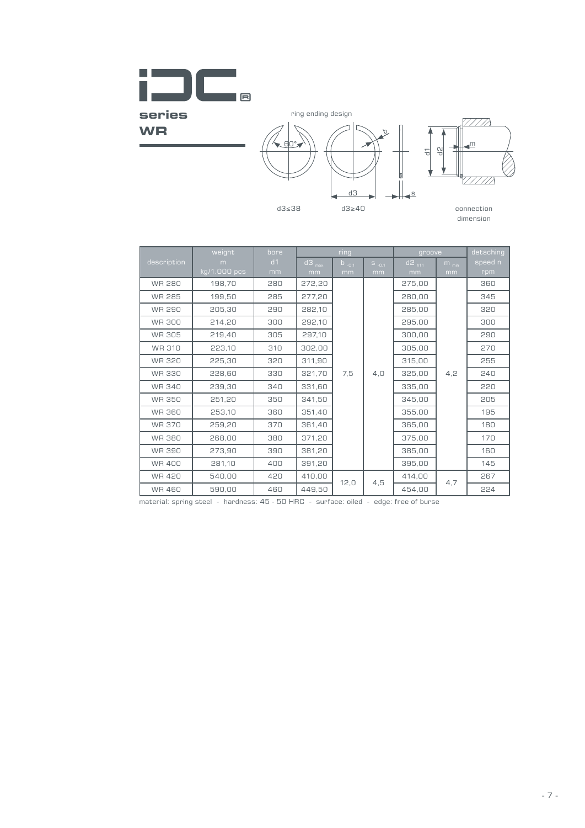

| ring<br>groove<br>detaching<br>weight<br>bore<br>$d3$ <sub>max.</sub><br>$d2$ <sub>h11</sub><br>description<br>d1<br>$b_{-0,1}$<br>speed n<br>m<br>$m_{min}$<br>$S_{-0,1}$<br>$kg/1.000$ pcs<br>rpm<br>mm<br>mm<br>mm<br>mm<br>mm<br>mm<br><b>WR 280</b><br>198,70<br>280<br>272,20<br>275,00<br>360<br>WR 285<br>199,50<br>285<br>277,20<br>280,00<br>345<br><b>WR 290</b><br>205,30<br>290<br>282,10<br>285,00<br>320<br><b>WR 300</b><br>214,20<br>295,00<br>300<br>292,10<br>300<br>WR 305<br>305<br>297,10<br>300,00<br>290<br>219,40<br>WR 310<br>310<br>302,00<br>270<br>223,10<br>305,00<br><b>WR 320</b><br>225,30<br>320<br>311,90<br>315,00<br>255<br>228,60<br>4,2<br><b>WR 330</b><br>330<br>321,70<br>7,5<br>4,0<br>325,00<br>240<br><b>WR 340</b><br>239,30<br>340<br>331,60<br>335,00<br>220<br>WR 350<br>251,20<br>350<br>341,50<br>345,00<br>205<br><b>WR 360</b><br>253,10<br>360<br>351,40<br>355,00<br>195<br><b>WR 370</b><br>259,20<br>370<br>361,40<br>180<br>365,00<br><b>WR 380</b><br>268,00<br>371,20<br>170<br>380<br>375,00<br><b>WR 390</b><br>273,90<br>390<br>381,20<br>385,00<br>160<br><b>WR 400</b><br>281,10<br>400<br>391,20<br>395,00<br>145<br><b>WR 420</b><br>540,00<br>420<br>410,00<br>414,00<br>267<br>4,5<br>12,0<br>4,7<br><b>WR 460</b><br>590,00<br>460<br>449,50<br>454,00<br>224<br>material: spring steel - hardness: 45 - 50 HRC - surface: oiled - edge: free of burse |
|------------------------------------------------------------------------------------------------------------------------------------------------------------------------------------------------------------------------------------------------------------------------------------------------------------------------------------------------------------------------------------------------------------------------------------------------------------------------------------------------------------------------------------------------------------------------------------------------------------------------------------------------------------------------------------------------------------------------------------------------------------------------------------------------------------------------------------------------------------------------------------------------------------------------------------------------------------------------------------------------------------------------------------------------------------------------------------------------------------------------------------------------------------------------------------------------------------------------------------------------------------------------------------------------------------------------------------------------------------------------------------------------------------------------------|
|                                                                                                                                                                                                                                                                                                                                                                                                                                                                                                                                                                                                                                                                                                                                                                                                                                                                                                                                                                                                                                                                                                                                                                                                                                                                                                                                                                                                                              |
|                                                                                                                                                                                                                                                                                                                                                                                                                                                                                                                                                                                                                                                                                                                                                                                                                                                                                                                                                                                                                                                                                                                                                                                                                                                                                                                                                                                                                              |
|                                                                                                                                                                                                                                                                                                                                                                                                                                                                                                                                                                                                                                                                                                                                                                                                                                                                                                                                                                                                                                                                                                                                                                                                                                                                                                                                                                                                                              |
|                                                                                                                                                                                                                                                                                                                                                                                                                                                                                                                                                                                                                                                                                                                                                                                                                                                                                                                                                                                                                                                                                                                                                                                                                                                                                                                                                                                                                              |
|                                                                                                                                                                                                                                                                                                                                                                                                                                                                                                                                                                                                                                                                                                                                                                                                                                                                                                                                                                                                                                                                                                                                                                                                                                                                                                                                                                                                                              |
|                                                                                                                                                                                                                                                                                                                                                                                                                                                                                                                                                                                                                                                                                                                                                                                                                                                                                                                                                                                                                                                                                                                                                                                                                                                                                                                                                                                                                              |
|                                                                                                                                                                                                                                                                                                                                                                                                                                                                                                                                                                                                                                                                                                                                                                                                                                                                                                                                                                                                                                                                                                                                                                                                                                                                                                                                                                                                                              |
|                                                                                                                                                                                                                                                                                                                                                                                                                                                                                                                                                                                                                                                                                                                                                                                                                                                                                                                                                                                                                                                                                                                                                                                                                                                                                                                                                                                                                              |
|                                                                                                                                                                                                                                                                                                                                                                                                                                                                                                                                                                                                                                                                                                                                                                                                                                                                                                                                                                                                                                                                                                                                                                                                                                                                                                                                                                                                                              |
|                                                                                                                                                                                                                                                                                                                                                                                                                                                                                                                                                                                                                                                                                                                                                                                                                                                                                                                                                                                                                                                                                                                                                                                                                                                                                                                                                                                                                              |
|                                                                                                                                                                                                                                                                                                                                                                                                                                                                                                                                                                                                                                                                                                                                                                                                                                                                                                                                                                                                                                                                                                                                                                                                                                                                                                                                                                                                                              |
|                                                                                                                                                                                                                                                                                                                                                                                                                                                                                                                                                                                                                                                                                                                                                                                                                                                                                                                                                                                                                                                                                                                                                                                                                                                                                                                                                                                                                              |
|                                                                                                                                                                                                                                                                                                                                                                                                                                                                                                                                                                                                                                                                                                                                                                                                                                                                                                                                                                                                                                                                                                                                                                                                                                                                                                                                                                                                                              |
|                                                                                                                                                                                                                                                                                                                                                                                                                                                                                                                                                                                                                                                                                                                                                                                                                                                                                                                                                                                                                                                                                                                                                                                                                                                                                                                                                                                                                              |
|                                                                                                                                                                                                                                                                                                                                                                                                                                                                                                                                                                                                                                                                                                                                                                                                                                                                                                                                                                                                                                                                                                                                                                                                                                                                                                                                                                                                                              |
|                                                                                                                                                                                                                                                                                                                                                                                                                                                                                                                                                                                                                                                                                                                                                                                                                                                                                                                                                                                                                                                                                                                                                                                                                                                                                                                                                                                                                              |
|                                                                                                                                                                                                                                                                                                                                                                                                                                                                                                                                                                                                                                                                                                                                                                                                                                                                                                                                                                                                                                                                                                                                                                                                                                                                                                                                                                                                                              |
|                                                                                                                                                                                                                                                                                                                                                                                                                                                                                                                                                                                                                                                                                                                                                                                                                                                                                                                                                                                                                                                                                                                                                                                                                                                                                                                                                                                                                              |
|                                                                                                                                                                                                                                                                                                                                                                                                                                                                                                                                                                                                                                                                                                                                                                                                                                                                                                                                                                                                                                                                                                                                                                                                                                                                                                                                                                                                                              |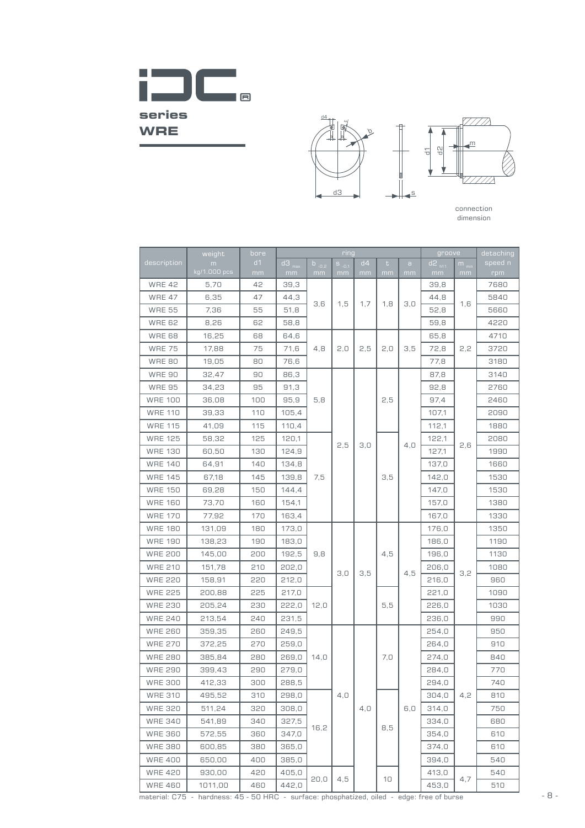



| d <sub>1</sub><br>description<br>$b_{.0.2}$<br>d4<br>speed n<br>$S_{-0.1}$<br>t<br>$\mathbf a$<br>$m_{min}$<br>m<br>kg/1.000 pcs<br>mm<br>rpm<br>mm<br>mm<br>mm<br>mm<br>mm<br>mm<br>mm<br>mm<br><b>WRE 42</b><br>5,70<br>42<br>39,3<br>39,8<br>7680<br><b>WRE 47</b><br>6,35<br>47<br>44,3<br>44,8<br>5840<br>3,6<br>1,5<br>1,7<br>1,8<br>3,0<br>1,6<br><b>WRE 55</b><br>7,36<br>55<br>51,8<br>5660<br>52,8<br><b>WRE 62</b><br>8,26<br>4220<br>62<br>58,8<br>59,8<br>4710<br><b>WRE 68</b><br>16,25<br>68<br>64,6<br>65,8<br>4,8<br>3,5<br>2,2<br><b>WRE 75</b><br>17,88<br>75<br>71,6<br>2,0<br>2,5<br>2,0<br>72,8<br>3720<br><b>WRE 80</b><br>19,05<br>80<br>76,6<br>77,8<br>3180<br><b>WRE 90</b><br>32,47<br>90<br>86,3<br>87,8<br>3140<br><b>WRE 95</b><br>34,23<br>95<br>91,3<br>92,8<br>2760<br><b>WRE 100</b><br>5,8<br>2,5<br>36,08<br>100<br>95,9<br>97,4<br>2460<br><b>WRE 110</b><br>39,33<br>110<br>105,4<br>2090<br>107,1<br><b>WRE 115</b><br>41,09<br>115<br>110,4<br>112,1<br>1880<br><b>WRE 125</b><br>125<br>58,32<br>120,1<br>122,1<br>2080<br>2,5<br>4,0<br>2,6<br>3,0<br><b>WRE 130</b><br>124,9<br>60,50<br>130<br>127,1<br>1990<br><b>WRE 140</b><br>64,91<br>140<br>134,8<br>137,0<br>1660<br><b>WRE 145</b><br>1530<br>67,18<br>145<br>139,8<br>7,5<br>3,5<br>142,0<br><b>WRE 150</b><br>144.4<br>1530<br>69,28<br>150<br>147,0<br><b>WRE 160</b><br>73,70<br>160<br>154,1<br>157,0<br>1380<br><b>WRE 170</b><br>77,92<br>170<br>163,4<br>167,0<br>1330<br><b>WRE 180</b><br>180<br>173,0<br>131,09<br>176,0<br>1350<br><b>WRE 190</b><br>190<br>138,23<br>183,0<br>186,0<br>1190<br><b>WRE 200</b><br>192,5<br>9,8<br>4,5<br>1130<br>145,00<br>200<br>196,0<br><b>WRE 210</b><br>151,78<br>210<br>202,0<br>206,0<br>1080<br>4,5<br>3,0<br>3,5<br>3,2<br><b>WRE 220</b><br>220<br>212,0<br>216,0<br>158,91<br>960<br><b>WRE 225</b><br>225<br>200,88<br>217,0<br>221,0<br>1090<br><b>WRE 230</b><br>205,24<br>230<br>222,0<br>12,0<br>5,5<br>226,0<br>1030<br><b>WRE 240</b><br>990<br>213,54<br>240<br>231,5<br>236,0<br><b>WRE 260</b><br>950<br>359,35<br>260<br>249,5<br>254.0<br><b>WRE 270</b><br>372,25<br>270<br>259,0<br>264,0<br>910<br>7,0<br><b>WRE 280</b><br>280<br>269,0<br>14,0<br>274,0<br>840<br>385,84<br><b>WRE 290</b><br>290<br>279,0<br>770<br>399.43<br>284,0<br><b>WRE 300</b><br>300<br>288,5<br>294,0<br>412,33<br>740<br><b>WRE 310</b><br>495,52<br>310<br>298,0<br>4,0<br>304,0<br>4,2<br>810<br>4,0<br>6,0<br><b>WRE 320</b><br>511,24<br>320<br>308,0<br>314,0<br>750<br><b>WRE 340</b><br>541,89<br>340<br>327,5<br>334,0<br>680<br>16,2<br>8,5<br><b>WRE 360</b><br>572,55<br>347,0<br>360<br>354,0<br>610<br><b>WRE 380</b><br>600,85<br>380<br>365,0<br>374,0<br>610<br><b>WRE 400</b><br>400<br>385,0<br>540<br>650,00<br>394,0<br><b>WRE 420</b><br>930,00<br>420<br>405,0<br>413,0<br>540<br>20,0<br>4,5<br>10<br>4,7<br>442,0<br><b>WRE 460</b><br>1011,00<br>460<br>453,0<br>510 | weight | bore | ring                |  |  |  |  |  | groove              |  | detaching |
|-------------------------------------------------------------------------------------------------------------------------------------------------------------------------------------------------------------------------------------------------------------------------------------------------------------------------------------------------------------------------------------------------------------------------------------------------------------------------------------------------------------------------------------------------------------------------------------------------------------------------------------------------------------------------------------------------------------------------------------------------------------------------------------------------------------------------------------------------------------------------------------------------------------------------------------------------------------------------------------------------------------------------------------------------------------------------------------------------------------------------------------------------------------------------------------------------------------------------------------------------------------------------------------------------------------------------------------------------------------------------------------------------------------------------------------------------------------------------------------------------------------------------------------------------------------------------------------------------------------------------------------------------------------------------------------------------------------------------------------------------------------------------------------------------------------------------------------------------------------------------------------------------------------------------------------------------------------------------------------------------------------------------------------------------------------------------------------------------------------------------------------------------------------------------------------------------------------------------------------------------------------------------------------------------------------------------------------------------------------------------------------------------------------------------------------------------------------------------------------------------------------------------------------------------------------------------------------------------------------------------------------------------------------------------------------------------------------------------------------------------------------------------------------------------------------------------------------------------------------------------------------------------------------------------------------------------------|--------|------|---------------------|--|--|--|--|--|---------------------|--|-----------|
|                                                                                                                                                                                                                                                                                                                                                                                                                                                                                                                                                                                                                                                                                                                                                                                                                                                                                                                                                                                                                                                                                                                                                                                                                                                                                                                                                                                                                                                                                                                                                                                                                                                                                                                                                                                                                                                                                                                                                                                                                                                                                                                                                                                                                                                                                                                                                                                                                                                                                                                                                                                                                                                                                                                                                                                                                                                                                                                                                       |        |      | $d3$ <sub>max</sub> |  |  |  |  |  | $d2$ <sub>h11</sub> |  |           |
|                                                                                                                                                                                                                                                                                                                                                                                                                                                                                                                                                                                                                                                                                                                                                                                                                                                                                                                                                                                                                                                                                                                                                                                                                                                                                                                                                                                                                                                                                                                                                                                                                                                                                                                                                                                                                                                                                                                                                                                                                                                                                                                                                                                                                                                                                                                                                                                                                                                                                                                                                                                                                                                                                                                                                                                                                                                                                                                                                       |        |      |                     |  |  |  |  |  |                     |  |           |
|                                                                                                                                                                                                                                                                                                                                                                                                                                                                                                                                                                                                                                                                                                                                                                                                                                                                                                                                                                                                                                                                                                                                                                                                                                                                                                                                                                                                                                                                                                                                                                                                                                                                                                                                                                                                                                                                                                                                                                                                                                                                                                                                                                                                                                                                                                                                                                                                                                                                                                                                                                                                                                                                                                                                                                                                                                                                                                                                                       |        |      |                     |  |  |  |  |  |                     |  |           |
|                                                                                                                                                                                                                                                                                                                                                                                                                                                                                                                                                                                                                                                                                                                                                                                                                                                                                                                                                                                                                                                                                                                                                                                                                                                                                                                                                                                                                                                                                                                                                                                                                                                                                                                                                                                                                                                                                                                                                                                                                                                                                                                                                                                                                                                                                                                                                                                                                                                                                                                                                                                                                                                                                                                                                                                                                                                                                                                                                       |        |      |                     |  |  |  |  |  |                     |  |           |
|                                                                                                                                                                                                                                                                                                                                                                                                                                                                                                                                                                                                                                                                                                                                                                                                                                                                                                                                                                                                                                                                                                                                                                                                                                                                                                                                                                                                                                                                                                                                                                                                                                                                                                                                                                                                                                                                                                                                                                                                                                                                                                                                                                                                                                                                                                                                                                                                                                                                                                                                                                                                                                                                                                                                                                                                                                                                                                                                                       |        |      |                     |  |  |  |  |  |                     |  |           |
|                                                                                                                                                                                                                                                                                                                                                                                                                                                                                                                                                                                                                                                                                                                                                                                                                                                                                                                                                                                                                                                                                                                                                                                                                                                                                                                                                                                                                                                                                                                                                                                                                                                                                                                                                                                                                                                                                                                                                                                                                                                                                                                                                                                                                                                                                                                                                                                                                                                                                                                                                                                                                                                                                                                                                                                                                                                                                                                                                       |        |      |                     |  |  |  |  |  |                     |  |           |
|                                                                                                                                                                                                                                                                                                                                                                                                                                                                                                                                                                                                                                                                                                                                                                                                                                                                                                                                                                                                                                                                                                                                                                                                                                                                                                                                                                                                                                                                                                                                                                                                                                                                                                                                                                                                                                                                                                                                                                                                                                                                                                                                                                                                                                                                                                                                                                                                                                                                                                                                                                                                                                                                                                                                                                                                                                                                                                                                                       |        |      |                     |  |  |  |  |  |                     |  |           |
|                                                                                                                                                                                                                                                                                                                                                                                                                                                                                                                                                                                                                                                                                                                                                                                                                                                                                                                                                                                                                                                                                                                                                                                                                                                                                                                                                                                                                                                                                                                                                                                                                                                                                                                                                                                                                                                                                                                                                                                                                                                                                                                                                                                                                                                                                                                                                                                                                                                                                                                                                                                                                                                                                                                                                                                                                                                                                                                                                       |        |      |                     |  |  |  |  |  |                     |  |           |
|                                                                                                                                                                                                                                                                                                                                                                                                                                                                                                                                                                                                                                                                                                                                                                                                                                                                                                                                                                                                                                                                                                                                                                                                                                                                                                                                                                                                                                                                                                                                                                                                                                                                                                                                                                                                                                                                                                                                                                                                                                                                                                                                                                                                                                                                                                                                                                                                                                                                                                                                                                                                                                                                                                                                                                                                                                                                                                                                                       |        |      |                     |  |  |  |  |  |                     |  |           |
|                                                                                                                                                                                                                                                                                                                                                                                                                                                                                                                                                                                                                                                                                                                                                                                                                                                                                                                                                                                                                                                                                                                                                                                                                                                                                                                                                                                                                                                                                                                                                                                                                                                                                                                                                                                                                                                                                                                                                                                                                                                                                                                                                                                                                                                                                                                                                                                                                                                                                                                                                                                                                                                                                                                                                                                                                                                                                                                                                       |        |      |                     |  |  |  |  |  |                     |  |           |
|                                                                                                                                                                                                                                                                                                                                                                                                                                                                                                                                                                                                                                                                                                                                                                                                                                                                                                                                                                                                                                                                                                                                                                                                                                                                                                                                                                                                                                                                                                                                                                                                                                                                                                                                                                                                                                                                                                                                                                                                                                                                                                                                                                                                                                                                                                                                                                                                                                                                                                                                                                                                                                                                                                                                                                                                                                                                                                                                                       |        |      |                     |  |  |  |  |  |                     |  |           |
|                                                                                                                                                                                                                                                                                                                                                                                                                                                                                                                                                                                                                                                                                                                                                                                                                                                                                                                                                                                                                                                                                                                                                                                                                                                                                                                                                                                                                                                                                                                                                                                                                                                                                                                                                                                                                                                                                                                                                                                                                                                                                                                                                                                                                                                                                                                                                                                                                                                                                                                                                                                                                                                                                                                                                                                                                                                                                                                                                       |        |      |                     |  |  |  |  |  |                     |  |           |
|                                                                                                                                                                                                                                                                                                                                                                                                                                                                                                                                                                                                                                                                                                                                                                                                                                                                                                                                                                                                                                                                                                                                                                                                                                                                                                                                                                                                                                                                                                                                                                                                                                                                                                                                                                                                                                                                                                                                                                                                                                                                                                                                                                                                                                                                                                                                                                                                                                                                                                                                                                                                                                                                                                                                                                                                                                                                                                                                                       |        |      |                     |  |  |  |  |  |                     |  |           |
|                                                                                                                                                                                                                                                                                                                                                                                                                                                                                                                                                                                                                                                                                                                                                                                                                                                                                                                                                                                                                                                                                                                                                                                                                                                                                                                                                                                                                                                                                                                                                                                                                                                                                                                                                                                                                                                                                                                                                                                                                                                                                                                                                                                                                                                                                                                                                                                                                                                                                                                                                                                                                                                                                                                                                                                                                                                                                                                                                       |        |      |                     |  |  |  |  |  |                     |  |           |
|                                                                                                                                                                                                                                                                                                                                                                                                                                                                                                                                                                                                                                                                                                                                                                                                                                                                                                                                                                                                                                                                                                                                                                                                                                                                                                                                                                                                                                                                                                                                                                                                                                                                                                                                                                                                                                                                                                                                                                                                                                                                                                                                                                                                                                                                                                                                                                                                                                                                                                                                                                                                                                                                                                                                                                                                                                                                                                                                                       |        |      |                     |  |  |  |  |  |                     |  |           |
|                                                                                                                                                                                                                                                                                                                                                                                                                                                                                                                                                                                                                                                                                                                                                                                                                                                                                                                                                                                                                                                                                                                                                                                                                                                                                                                                                                                                                                                                                                                                                                                                                                                                                                                                                                                                                                                                                                                                                                                                                                                                                                                                                                                                                                                                                                                                                                                                                                                                                                                                                                                                                                                                                                                                                                                                                                                                                                                                                       |        |      |                     |  |  |  |  |  |                     |  |           |
|                                                                                                                                                                                                                                                                                                                                                                                                                                                                                                                                                                                                                                                                                                                                                                                                                                                                                                                                                                                                                                                                                                                                                                                                                                                                                                                                                                                                                                                                                                                                                                                                                                                                                                                                                                                                                                                                                                                                                                                                                                                                                                                                                                                                                                                                                                                                                                                                                                                                                                                                                                                                                                                                                                                                                                                                                                                                                                                                                       |        |      |                     |  |  |  |  |  |                     |  |           |
|                                                                                                                                                                                                                                                                                                                                                                                                                                                                                                                                                                                                                                                                                                                                                                                                                                                                                                                                                                                                                                                                                                                                                                                                                                                                                                                                                                                                                                                                                                                                                                                                                                                                                                                                                                                                                                                                                                                                                                                                                                                                                                                                                                                                                                                                                                                                                                                                                                                                                                                                                                                                                                                                                                                                                                                                                                                                                                                                                       |        |      |                     |  |  |  |  |  |                     |  |           |
|                                                                                                                                                                                                                                                                                                                                                                                                                                                                                                                                                                                                                                                                                                                                                                                                                                                                                                                                                                                                                                                                                                                                                                                                                                                                                                                                                                                                                                                                                                                                                                                                                                                                                                                                                                                                                                                                                                                                                                                                                                                                                                                                                                                                                                                                                                                                                                                                                                                                                                                                                                                                                                                                                                                                                                                                                                                                                                                                                       |        |      |                     |  |  |  |  |  |                     |  |           |
|                                                                                                                                                                                                                                                                                                                                                                                                                                                                                                                                                                                                                                                                                                                                                                                                                                                                                                                                                                                                                                                                                                                                                                                                                                                                                                                                                                                                                                                                                                                                                                                                                                                                                                                                                                                                                                                                                                                                                                                                                                                                                                                                                                                                                                                                                                                                                                                                                                                                                                                                                                                                                                                                                                                                                                                                                                                                                                                                                       |        |      |                     |  |  |  |  |  |                     |  |           |
|                                                                                                                                                                                                                                                                                                                                                                                                                                                                                                                                                                                                                                                                                                                                                                                                                                                                                                                                                                                                                                                                                                                                                                                                                                                                                                                                                                                                                                                                                                                                                                                                                                                                                                                                                                                                                                                                                                                                                                                                                                                                                                                                                                                                                                                                                                                                                                                                                                                                                                                                                                                                                                                                                                                                                                                                                                                                                                                                                       |        |      |                     |  |  |  |  |  |                     |  |           |
|                                                                                                                                                                                                                                                                                                                                                                                                                                                                                                                                                                                                                                                                                                                                                                                                                                                                                                                                                                                                                                                                                                                                                                                                                                                                                                                                                                                                                                                                                                                                                                                                                                                                                                                                                                                                                                                                                                                                                                                                                                                                                                                                                                                                                                                                                                                                                                                                                                                                                                                                                                                                                                                                                                                                                                                                                                                                                                                                                       |        |      |                     |  |  |  |  |  |                     |  |           |
|                                                                                                                                                                                                                                                                                                                                                                                                                                                                                                                                                                                                                                                                                                                                                                                                                                                                                                                                                                                                                                                                                                                                                                                                                                                                                                                                                                                                                                                                                                                                                                                                                                                                                                                                                                                                                                                                                                                                                                                                                                                                                                                                                                                                                                                                                                                                                                                                                                                                                                                                                                                                                                                                                                                                                                                                                                                                                                                                                       |        |      |                     |  |  |  |  |  |                     |  |           |
|                                                                                                                                                                                                                                                                                                                                                                                                                                                                                                                                                                                                                                                                                                                                                                                                                                                                                                                                                                                                                                                                                                                                                                                                                                                                                                                                                                                                                                                                                                                                                                                                                                                                                                                                                                                                                                                                                                                                                                                                                                                                                                                                                                                                                                                                                                                                                                                                                                                                                                                                                                                                                                                                                                                                                                                                                                                                                                                                                       |        |      |                     |  |  |  |  |  |                     |  |           |
|                                                                                                                                                                                                                                                                                                                                                                                                                                                                                                                                                                                                                                                                                                                                                                                                                                                                                                                                                                                                                                                                                                                                                                                                                                                                                                                                                                                                                                                                                                                                                                                                                                                                                                                                                                                                                                                                                                                                                                                                                                                                                                                                                                                                                                                                                                                                                                                                                                                                                                                                                                                                                                                                                                                                                                                                                                                                                                                                                       |        |      |                     |  |  |  |  |  |                     |  |           |
|                                                                                                                                                                                                                                                                                                                                                                                                                                                                                                                                                                                                                                                                                                                                                                                                                                                                                                                                                                                                                                                                                                                                                                                                                                                                                                                                                                                                                                                                                                                                                                                                                                                                                                                                                                                                                                                                                                                                                                                                                                                                                                                                                                                                                                                                                                                                                                                                                                                                                                                                                                                                                                                                                                                                                                                                                                                                                                                                                       |        |      |                     |  |  |  |  |  |                     |  |           |
|                                                                                                                                                                                                                                                                                                                                                                                                                                                                                                                                                                                                                                                                                                                                                                                                                                                                                                                                                                                                                                                                                                                                                                                                                                                                                                                                                                                                                                                                                                                                                                                                                                                                                                                                                                                                                                                                                                                                                                                                                                                                                                                                                                                                                                                                                                                                                                                                                                                                                                                                                                                                                                                                                                                                                                                                                                                                                                                                                       |        |      |                     |  |  |  |  |  |                     |  |           |
|                                                                                                                                                                                                                                                                                                                                                                                                                                                                                                                                                                                                                                                                                                                                                                                                                                                                                                                                                                                                                                                                                                                                                                                                                                                                                                                                                                                                                                                                                                                                                                                                                                                                                                                                                                                                                                                                                                                                                                                                                                                                                                                                                                                                                                                                                                                                                                                                                                                                                                                                                                                                                                                                                                                                                                                                                                                                                                                                                       |        |      |                     |  |  |  |  |  |                     |  |           |
|                                                                                                                                                                                                                                                                                                                                                                                                                                                                                                                                                                                                                                                                                                                                                                                                                                                                                                                                                                                                                                                                                                                                                                                                                                                                                                                                                                                                                                                                                                                                                                                                                                                                                                                                                                                                                                                                                                                                                                                                                                                                                                                                                                                                                                                                                                                                                                                                                                                                                                                                                                                                                                                                                                                                                                                                                                                                                                                                                       |        |      |                     |  |  |  |  |  |                     |  |           |
|                                                                                                                                                                                                                                                                                                                                                                                                                                                                                                                                                                                                                                                                                                                                                                                                                                                                                                                                                                                                                                                                                                                                                                                                                                                                                                                                                                                                                                                                                                                                                                                                                                                                                                                                                                                                                                                                                                                                                                                                                                                                                                                                                                                                                                                                                                                                                                                                                                                                                                                                                                                                                                                                                                                                                                                                                                                                                                                                                       |        |      |                     |  |  |  |  |  |                     |  |           |
|                                                                                                                                                                                                                                                                                                                                                                                                                                                                                                                                                                                                                                                                                                                                                                                                                                                                                                                                                                                                                                                                                                                                                                                                                                                                                                                                                                                                                                                                                                                                                                                                                                                                                                                                                                                                                                                                                                                                                                                                                                                                                                                                                                                                                                                                                                                                                                                                                                                                                                                                                                                                                                                                                                                                                                                                                                                                                                                                                       |        |      |                     |  |  |  |  |  |                     |  |           |
|                                                                                                                                                                                                                                                                                                                                                                                                                                                                                                                                                                                                                                                                                                                                                                                                                                                                                                                                                                                                                                                                                                                                                                                                                                                                                                                                                                                                                                                                                                                                                                                                                                                                                                                                                                                                                                                                                                                                                                                                                                                                                                                                                                                                                                                                                                                                                                                                                                                                                                                                                                                                                                                                                                                                                                                                                                                                                                                                                       |        |      |                     |  |  |  |  |  |                     |  |           |
|                                                                                                                                                                                                                                                                                                                                                                                                                                                                                                                                                                                                                                                                                                                                                                                                                                                                                                                                                                                                                                                                                                                                                                                                                                                                                                                                                                                                                                                                                                                                                                                                                                                                                                                                                                                                                                                                                                                                                                                                                                                                                                                                                                                                                                                                                                                                                                                                                                                                                                                                                                                                                                                                                                                                                                                                                                                                                                                                                       |        |      |                     |  |  |  |  |  |                     |  |           |
|                                                                                                                                                                                                                                                                                                                                                                                                                                                                                                                                                                                                                                                                                                                                                                                                                                                                                                                                                                                                                                                                                                                                                                                                                                                                                                                                                                                                                                                                                                                                                                                                                                                                                                                                                                                                                                                                                                                                                                                                                                                                                                                                                                                                                                                                                                                                                                                                                                                                                                                                                                                                                                                                                                                                                                                                                                                                                                                                                       |        |      |                     |  |  |  |  |  |                     |  |           |
|                                                                                                                                                                                                                                                                                                                                                                                                                                                                                                                                                                                                                                                                                                                                                                                                                                                                                                                                                                                                                                                                                                                                                                                                                                                                                                                                                                                                                                                                                                                                                                                                                                                                                                                                                                                                                                                                                                                                                                                                                                                                                                                                                                                                                                                                                                                                                                                                                                                                                                                                                                                                                                                                                                                                                                                                                                                                                                                                                       |        |      |                     |  |  |  |  |  |                     |  |           |
|                                                                                                                                                                                                                                                                                                                                                                                                                                                                                                                                                                                                                                                                                                                                                                                                                                                                                                                                                                                                                                                                                                                                                                                                                                                                                                                                                                                                                                                                                                                                                                                                                                                                                                                                                                                                                                                                                                                                                                                                                                                                                                                                                                                                                                                                                                                                                                                                                                                                                                                                                                                                                                                                                                                                                                                                                                                                                                                                                       |        |      |                     |  |  |  |  |  |                     |  |           |
|                                                                                                                                                                                                                                                                                                                                                                                                                                                                                                                                                                                                                                                                                                                                                                                                                                                                                                                                                                                                                                                                                                                                                                                                                                                                                                                                                                                                                                                                                                                                                                                                                                                                                                                                                                                                                                                                                                                                                                                                                                                                                                                                                                                                                                                                                                                                                                                                                                                                                                                                                                                                                                                                                                                                                                                                                                                                                                                                                       |        |      |                     |  |  |  |  |  |                     |  |           |
|                                                                                                                                                                                                                                                                                                                                                                                                                                                                                                                                                                                                                                                                                                                                                                                                                                                                                                                                                                                                                                                                                                                                                                                                                                                                                                                                                                                                                                                                                                                                                                                                                                                                                                                                                                                                                                                                                                                                                                                                                                                                                                                                                                                                                                                                                                                                                                                                                                                                                                                                                                                                                                                                                                                                                                                                                                                                                                                                                       |        |      |                     |  |  |  |  |  |                     |  |           |
|                                                                                                                                                                                                                                                                                                                                                                                                                                                                                                                                                                                                                                                                                                                                                                                                                                                                                                                                                                                                                                                                                                                                                                                                                                                                                                                                                                                                                                                                                                                                                                                                                                                                                                                                                                                                                                                                                                                                                                                                                                                                                                                                                                                                                                                                                                                                                                                                                                                                                                                                                                                                                                                                                                                                                                                                                                                                                                                                                       |        |      |                     |  |  |  |  |  |                     |  |           |
|                                                                                                                                                                                                                                                                                                                                                                                                                                                                                                                                                                                                                                                                                                                                                                                                                                                                                                                                                                                                                                                                                                                                                                                                                                                                                                                                                                                                                                                                                                                                                                                                                                                                                                                                                                                                                                                                                                                                                                                                                                                                                                                                                                                                                                                                                                                                                                                                                                                                                                                                                                                                                                                                                                                                                                                                                                                                                                                                                       |        |      |                     |  |  |  |  |  |                     |  |           |
|                                                                                                                                                                                                                                                                                                                                                                                                                                                                                                                                                                                                                                                                                                                                                                                                                                                                                                                                                                                                                                                                                                                                                                                                                                                                                                                                                                                                                                                                                                                                                                                                                                                                                                                                                                                                                                                                                                                                                                                                                                                                                                                                                                                                                                                                                                                                                                                                                                                                                                                                                                                                                                                                                                                                                                                                                                                                                                                                                       |        |      |                     |  |  |  |  |  |                     |  |           |
|                                                                                                                                                                                                                                                                                                                                                                                                                                                                                                                                                                                                                                                                                                                                                                                                                                                                                                                                                                                                                                                                                                                                                                                                                                                                                                                                                                                                                                                                                                                                                                                                                                                                                                                                                                                                                                                                                                                                                                                                                                                                                                                                                                                                                                                                                                                                                                                                                                                                                                                                                                                                                                                                                                                                                                                                                                                                                                                                                       |        |      |                     |  |  |  |  |  |                     |  |           |